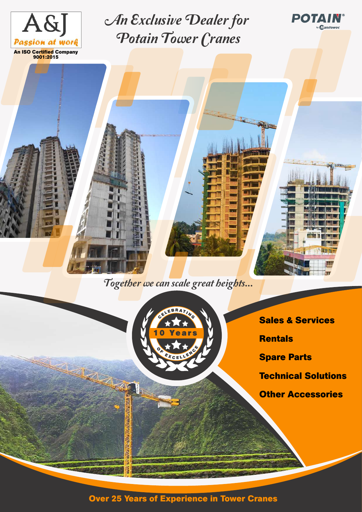

**9001:2015**

An Exclusive Dealer for Potain Tower Cranes

Together we can scale great heights...



**Sales & Services**

PO

**Tanitowoc** 

**TENNIS** 

**Rentals**

**ALLIEN** 

**Spare Parts**

**Technical Solutions**

**Other Accessories**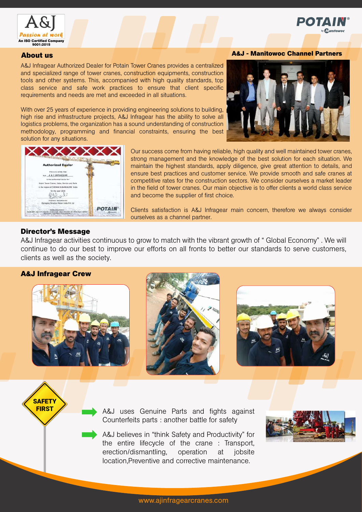

#### **About us**

A&J Infragear Authorized Dealer for Potain Tower Cranes provides a centralized and specialized range of tower cranes, construction equipments, construction tools and other systems. This, accompanied with high quality standards, top class service and safe work practices to ensure that client specific requirements and needs are met and exceeded in all situations.

With over 25 years of experience in providing engineering solutions to building, high rise and infrastructure projects, A&J Infragear has the ability to solve all logistics problems, the organization has a sound understanding of construction methodology, programming and financial constraints, ensuring the best solution for any situations.

#### **A&J - Manitowoc Channel Partners**

Poi





Our success come from having reliable, high quality and well maintained tower cranes, strong management and the knowledge of the best solution for each situation. We maintain the highest standards, apply diligence, give great attention to details, and ensure best practices and customer service. We provide smooth and safe cranes at competitive rates for the construction sectors. We consider ourselves a market leader in the field of tower cranes. Our main objective is to offer clients a world class service and become the supplier of first choice.

Clients satisfaction is A&J Infragear main concern, therefore we always consider ourselves as a channel partner.

#### **Director's Message**

A&J Infragear activities continuous to grow to match with the vibrant growth of " Global Economy" . We will continue to do our best to improve our efforts on all fronts to better our standards to serve customers, clients as well as the society.

#### **A&J Infragear Crew**

SAFETY<br>FIRST







A&J uses Genuine Parts and fights against Counterfeits parts : another battle for safety

A&J believes in "think Safety and Productivity" for the entire lifecycle of the crane : Transport, erection/dismantling, operation at jobsite location,Preventive and corrective maintenance.

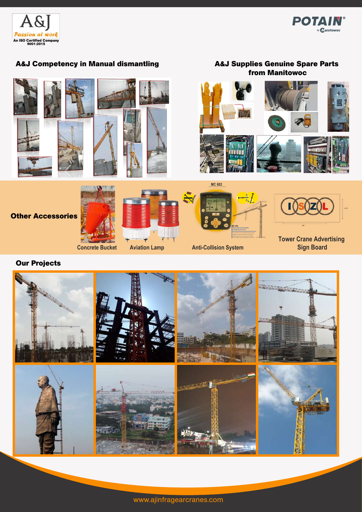



### **A&J Competency in Manual dismantling**

### **A&J Supplies Genuine Spare Parts from Manitowoc**



### **Our Projects**